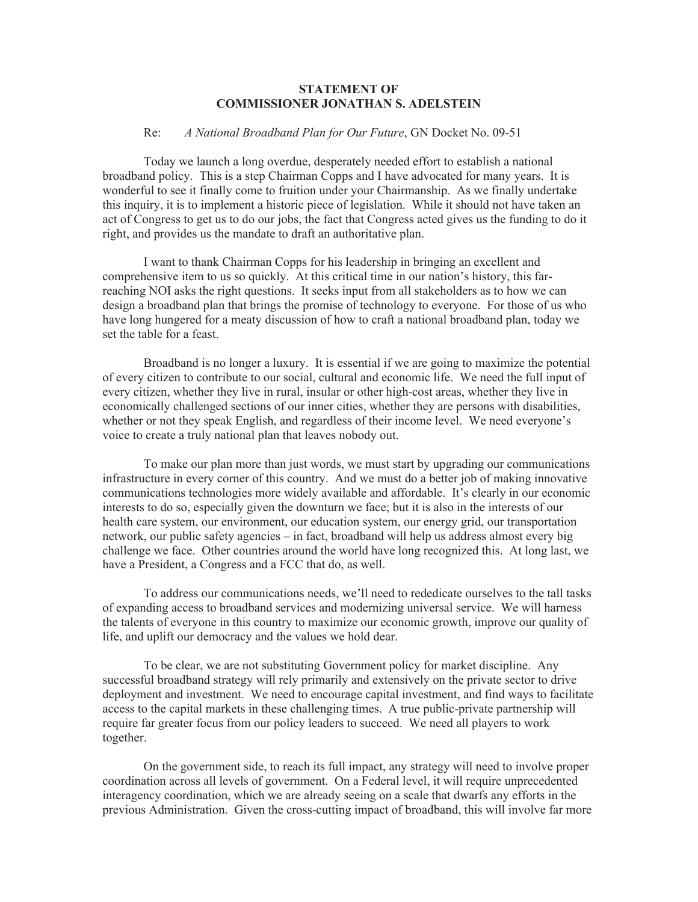## **STATEMENT OF COMMISSIONER JONATHAN S. ADELSTEIN**

## Re: *A National Broadband Plan for Our Future*, GN Docket No. 09-51

Today we launch a long overdue, desperately needed effort to establish a national broadband policy. This is a step Chairman Copps and I have advocated for many years. It is wonderful to see it finally come to fruition under your Chairmanship. As we finally undertake this inquiry, it is to implement a historic piece of legislation. While it should not have taken an act of Congress to get us to do our jobs, the fact that Congress acted gives us the funding to do it right, and provides us the mandate to draft an authoritative plan.

I want to thank Chairman Copps for his leadership in bringing an excellent and comprehensive item to us so quickly. At this critical time in our nation's history, this farreaching NOI asks the right questions. It seeks input from all stakeholders as to how we can design a broadband plan that brings the promise of technology to everyone. For those of us who have long hungered for a meaty discussion of how to craft a national broadband plan, today we set the table for a feast.

Broadband is no longer a luxury. It is essential if we are going to maximize the potential of every citizen to contribute to our social, cultural and economic life. We need the full input of every citizen, whether they live in rural, insular or other high-cost areas, whether they live in economically challenged sections of our inner cities, whether they are persons with disabilities, whether or not they speak English, and regardless of their income level. We need everyone's voice to create a truly national plan that leaves nobody out.

To make our plan more than just words, we must start by upgrading our communications infrastructure in every corner of this country. And we must do a better job of making innovative communications technologies more widely available and affordable. It's clearly in our economic interests to do so, especially given the downturn we face; but it is also in the interests of our health care system, our environment, our education system, our energy grid, our transportation network, our public safety agencies – in fact, broadband will help us address almost every big challenge we face. Other countries around the world have long recognized this. At long last, we have a President, a Congress and a FCC that do, as well.

To address our communications needs, we'll need to rededicate ourselves to the tall tasks of expanding access to broadband services and modernizing universal service. We will harness the talents of everyone in this country to maximize our economic growth, improve our quality of life, and uplift our democracy and the values we hold dear.

To be clear, we are not substituting Government policy for market discipline. Any successful broadband strategy will rely primarily and extensively on the private sector to drive deployment and investment. We need to encourage capital investment, and find ways to facilitate access to the capital markets in these challenging times. A true public-private partnership will require far greater focus from our policy leaders to succeed. We need all players to work together.

On the government side, to reach its full impact, any strategy will need to involve proper coordination across all levels of government. On a Federal level, it will require unprecedented interagency coordination, which we are already seeing on a scale that dwarfs any efforts in the previous Administration. Given the cross-cutting impact of broadband, this will involve far more